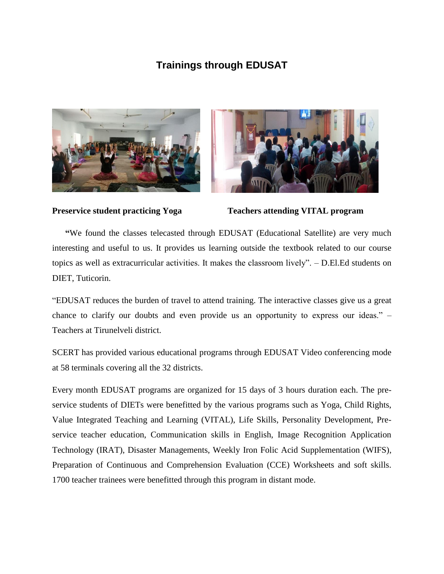## **Trainings through EDUSAT**





**Preservice student practicing Yoga Teachers attending VITAL program** 

 **"**We found the classes telecasted through EDUSAT (Educational Satellite) are very much interesting and useful to us. It provides us learning outside the textbook related to our course topics as well as extracurricular activities. It makes the classroom lively". – D.El.Ed students on DIET, Tuticorin.

"EDUSAT reduces the burden of travel to attend training. The interactive classes give us a great chance to clarify our doubts and even provide us an opportunity to express our ideas." – Teachers at Tirunelveli district.

SCERT has provided various educational programs through EDUSAT Video conferencing mode at 58 terminals covering all the 32 districts.

Every month EDUSAT programs are organized for 15 days of 3 hours duration each. The preservice students of DIETs were benefitted by the various programs such as Yoga, Child Rights, Value Integrated Teaching and Learning (VITAL), Life Skills, Personality Development, Preservice teacher education, Communication skills in English, Image Recognition Application Technology (IRAT), Disaster Managements, Weekly Iron Folic Acid Supplementation (WIFS), Preparation of Continuous and Comprehension Evaluation (CCE) Worksheets and soft skills. 1700 teacher trainees were benefitted through this program in distant mode.